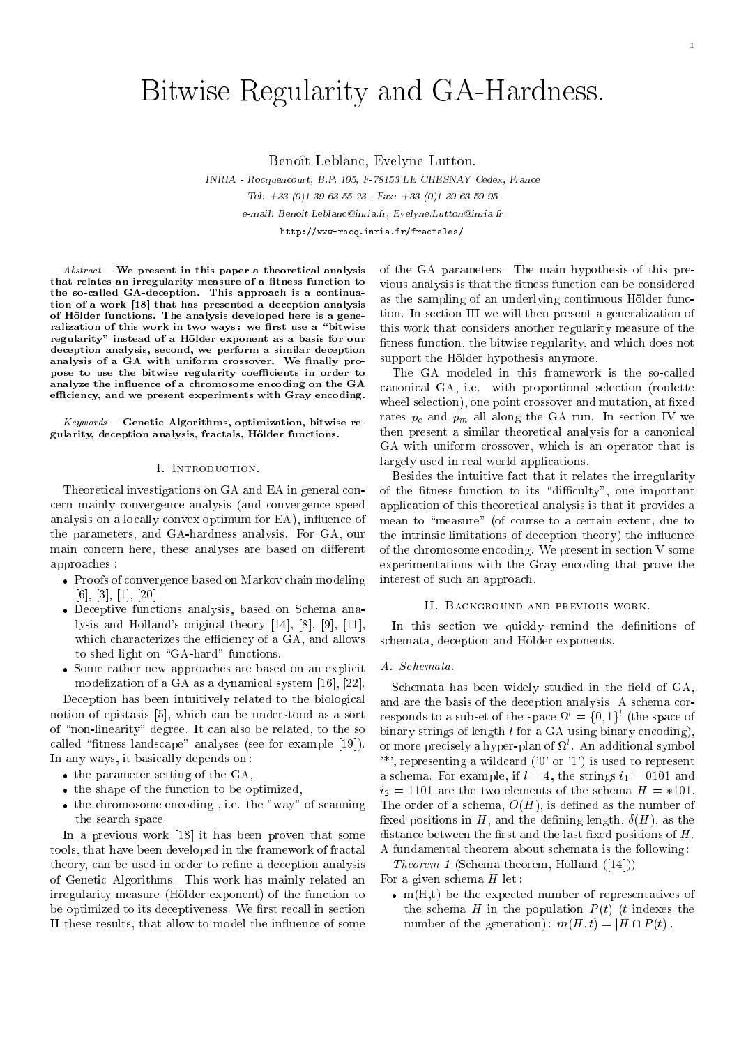# Bitwise Regularity and GA-Hardness.

Benoît Leblanc, Evelyne Lutton.

INRIA - Rocquencourt, B.P. 105, F-78153 LE CHESNAY Cedex, France Tel: +33 (0)1 <sup>39</sup> <sup>63</sup> <sup>55</sup> <sup>23</sup> - Fax: +33 (0)1 <sup>39</sup> <sup>63</sup> <sup>59</sup> <sup>95</sup> e-mail: Benoit.Leblanc@inria.fr, Evelyne.Lutton@inria.fr http://www-rocq.inria.fr/fractales/

 ${\it Abstract}$ — We present in this paper a theoretical analysis that relates an irregularity measure of a fitness function to the so-called GA-deception. This approach is a continuation of a work [18] that has presented a deception analysis of Hölder functions. The analysis developed here is a generalization of this work in two ways: we first use a "bitwise regularity" instead of a Hölder exponent as a basis for our deception analysis, second, we perform a similar deception analysis of a GA with uniform crossover. We finally propose to use the bitwise regularity coefficients in order to unity as the indicated to a chromosome encoding on the GAS efficiency, and we present experiments with Gray encoding.

 $Keywords$ — Genetic Algorithms, optimization, bitwise regularity, deception analysis, fractals, Hölder functions.

## I. Introduction.

Theoretical investigations on GA and EA in general concern mainly convergence analysis (and convergence speed analysis on a locally convex optimum for EA), influence of the parameters, and GA-hardness analysis. For GA, our main concern here, these analyses are based on different approaches :

- Proofs of convergence based on Markov chain modeling [6], [3], [1], [20].
- Deceptive functions analysis, based on Schema analysis and Holland's original theory [14], [8], [9], [11], which characterizes the efficiency of a GA, and allows to shed light on "GA-hard" functions.
- Some rather new approaches are based on an explicit modelization of a GA as a dynamical system [16], [22].

Deception has been intuitively related to the biological notion of epistasis [5], which can be understood as a sort of \non-linearity" degree. It can also be related, to the so called "fitness landscape" analyses (see for example [19]). In any ways, it basically depends on :

- the parameter setting of the GA,
- the shape of the function to be optimized,
- the chromosome encoding , i.e. the "way" of scanning the search space.

In a previous work [18] it has been proven that some tools, that have been developed in the framework of fractal theory, can be used in order to refine a deception analysis of Genetic Algorithms. This work has mainly related an irregularity measure (Holder exponent) of the function to be optimized to its deceptiveness. We first recall in section II these results, that allow to model the influence of some of the GA parameters. The main hypothesis of this previous analysis is that the fitness function can be considered as the sampling of an underlying continuous Hölder function. In section III we will then present a generalization of this work that considers another regularity measure of the fitness function, the bitwise regularity, and which does not support the Hölder hypothesis anymore.

The GA modeled in this framework is the so-called canonical GA, i.e. with proportional selection (roulette wheel selection), one point crossover and mutation, at fixed rates  $p_c$  and  $p_m$  all along the GA run. In section IV we then present a similar theoretical analysis for a canonical GA with uniform crossover, which is an operator that is largely used in real world applications.

Besides the intuitive fact that it relates the irregularity of the fitness function to its "difficulty", one important application of this theoretical analysis is that it provides a mean to "measure" (of course to a certain extent, due to the intrinsic limitations of deception theory) the influence of the chromosome encoding. We present in section V some experimentations with the Gray encoding that prove the interest of such an approach.

## II. Background and previous work.

In this section we quickly remind the definitions of schemata, deception and Hölder exponents.

## A. Schemata.

Schemata has been widely studied in the field of GA, and are the basis of the deception analysis. A schema corresponds to a subset of the space  $\Omega = \{0, 1\}$  (the space of binary strings of length  $l$  for a GA using binary encoding), or more precisely a hyper-plan of <sup>l</sup> . An additional symbol '\*', representing a wildcard ('0' or '1') is used to represent a schema. For example, if  $l = 4$ , the strings  $i_1 = 0101$  and  $i_2 = 1101$  are the two elements of the schema  $H = *101$ . The order of a schema,  $O(H)$ , is defined as the number of fixed positions in H, and the defining length,  $\delta(H)$ , as the distance between the first and the last fixed positions of  $H$ . A fundamental theorem about schemata is the following :

Theorem 1 (Schema theorem, Holland ([14]))

For a given schema  $H$  let:

 m(H,t) be the expected number of representatives of the schema H in the population  $P(t)$  (t indexes the number of the generation):  $m(H, t) = |H \cap P(t)|$ .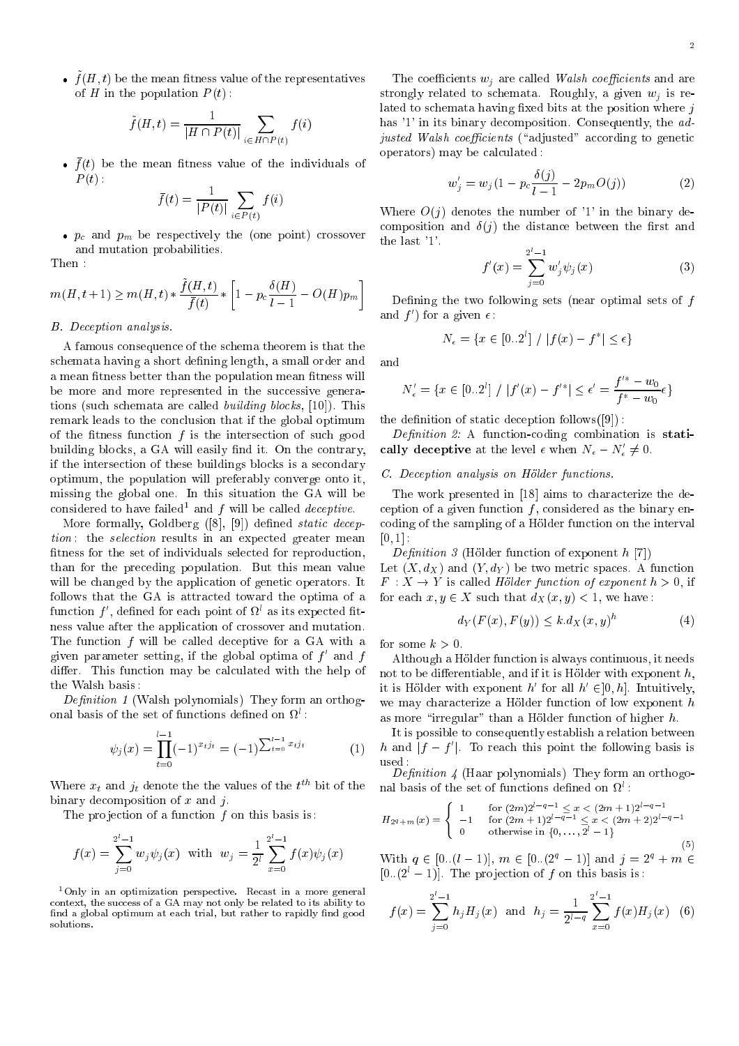$\bullet$   $\mu$  ( $\mu$ ,  $\iota$ ) be the mean ntness value of the representatives of H in the population  $P(t)$ :

$$
\tilde{f}(H,t) = \frac{1}{|H \cap P(t)|} \sum_{i \in H \cap P(t)} f(i)
$$

 $\bullet$   $\mu$ ) be the mean ntness value of the individuals of  $P(t)$ :

$$
\bar{f}(t) = \frac{1}{|P(t)|} \sum_{i \in P(t)} f(i)
$$

proposed and proposed points of the cone points of  $\mathcal{N}$  and  $\mathcal{N}$  and  $\mathcal{N}$  and  $\mathcal{N}$ and mutation probabilities.

Then :

$$
m(H, t+1) \ge m(H, t) * \frac{f(H, t)}{\bar{f}(t)} * \left[1 - p_c \frac{\delta(H)}{l-1} - O(H)p_m\right]
$$

# B. Deception analysis.

A famous consequence of the schema theorem is that the schemata having a short defining length, a small order and a mean fitness better than the population mean fitness will be more and more represented in the successive generations (such schemata are called building blocks, [10]). This remark leads to the conclusion that if the global optimum of the fitness function  $f$  is the intersection of such good building blocks, a GA will easily find it. On the contrary, if the intersection of these buildings blocks is a secondary optimum, the population will preferably converge onto it, missing the global one. In this situation the GA will be considered to have failed and  $f$  will be called *deceptive*.

More formally, Goldberg ([8], [9]) defined *static decep*tion: the selection results in an expected greater mean fitness for the set of individuals selected for reproduction, than for the preceding population. But this mean value will be changed by the application of genetic operators. It follows that the GA is attracted toward the optima of a  $1$ unction  $f$ , denned for each point of  $\Omega$  as its expected itness value after the application of crossover and mutation. The function f will be called deceptive for a GA with a given parameter setting, if the global optima of  $f$  and  $f$ differ. This function may be calculated with the help of the Walsh basis :

Definition 1 (Walsh polynomials) They form an orthogonal basis of the set of functions dened on <sup>l</sup> :

$$
\psi_j(x) = \prod_{t=0}^{l-1} (-1)^{x_t j_t} = (-1)^{\sum_{t=0}^{l-1} x_t j_t} \tag{1}
$$

where  $x_t$  and  $y_t$  denote the the values of the  $t$ . Bit of the binary decomposition of  $x$  and  $j$ .

The projection of a function  $f$  on this basis is:

$$
f(x) = \sum_{j=0}^{2^{l}-1} w_j \psi_j(x) \text{ with } w_j = \frac{1}{2^{l}} \sum_{x=0}^{2^{l}-1} f(x) \psi_j(x)
$$

 $1$ Only in an optimization perspective. Recast in a more general context, the success of a GA may not only be related to its ability to find a global optimum at each trial, but rather to rapidly find good

The coefficients  $w_i$  are called Walsh coefficients and are strongly related to schemata. Roughly, a given  $w_i$  is related to schemata having fixed bits at the position where  $j$ has '1' in its binary decomposition. Consequently, the adjusted Walsh coefficients ("adjusted" according to genetic operators) may be calculated :

$$
w'_{j} = w_{j}(1 - p_{c} \frac{\delta(j)}{l-1} - 2p_{m} O(j))
$$
 (2)

Where  $O(i)$  denotes the number of '1' in the binary decomposition and  $\delta(i)$  the distance between the first and the last '1'.

$$
f'(x) = \sum_{j=0}^{2^{i}-1} w'_{j} \psi_{j}(x)
$$
 (3)

Defining the two following sets (near optimal sets of  $f$ and *I* ) for a given  $\epsilon$  :

$$
N_{\epsilon} = \{ x \in [0..2^l] / |f(x) - f^*| \le \epsilon \}
$$

and

$$
N'_{\epsilon} = \{ x \in [0..2^{l}] / |f'(x) - f'^{*}| \le \epsilon' = \frac{f'^{*} - w_{0}}{f^{*} - w_{0}} \epsilon \}
$$

the definition of static deception follows $([9])$ :

Definition 2: A function-coding combination is statically deceptive at the level  $\epsilon$  when  $N_{\epsilon}-N_{\epsilon}\neq 0.$ 

## C. Deception analysis on Hölder functions.

The work presented in [18] aims to characterize the deception of a given function  $f$ , considered as the binary encoding of the sampling of a Holder function on the interval  $[0, 1]$  :

Definition 3 (Hölder function of exponent  $h$  [7]) Let  $(X, d_X)$  and  $(Y, d_Y)$  be two metric spaces. A function  $F: X \to Y$  is called Hölder function of exponent  $h > 0$ , if for each  $x, y \in X$  such that  $d_X(x, y) < 1$ , we have:

$$
d_Y(F(x), F(y)) \le k \, d_X(x, y)^n \tag{4}
$$

for some  $k > 0$ .

Although a Holder function is always continuous, it needs not to be differentiable, and if it is Hölder with exponent  $h$ , It is Holder with exponent  $n$  for all  $n \in ]0, n]$ . Intuitively, we may characterize a Hölder function of low exponent  $h$ as more "irregular" than a Hölder function of higher  $h$ .

It is possible to consequently establish a relation between  $\mu$  and  $\mu$  -  $\mu$  ). To reach this point the following basis is

Denition 4 (Haar polynomials) They form an orthogo- $\lim$  basis of the set of functions defined on  $u$  :

$$
H_{2q+m}(x) = \begin{cases} 1 & \text{for } (2m)2^{l-q-1} \leq x < (2m+1)2^{l-q-1} \\ -1 & \text{for } (2m+1)2^{l-q-1} \leq x < (2m+2)2^{l-q-1} \\ 0 & \text{otherwise in } \{0, \ldots, 2^l-1\} \end{cases}
$$

 $\cdot$   $\cdot$   $\cdot$ 

With  $q \in [0..(l - 1)], m \in [0..(2<sup>q</sup> - 1)]$  and  $j = 2<sup>q</sup> + m \in$  $[0..(2<sup>l</sup> - 1)]$ . The projection of f on this basis is:

$$
f(x) = \sum_{j=0}^{2^{l}-1} h_j H_j(x)
$$
 and  $h_j = \frac{1}{2^{l-q}} \sum_{x=0}^{2^{l}-1} f(x) H_j(x)$  (6)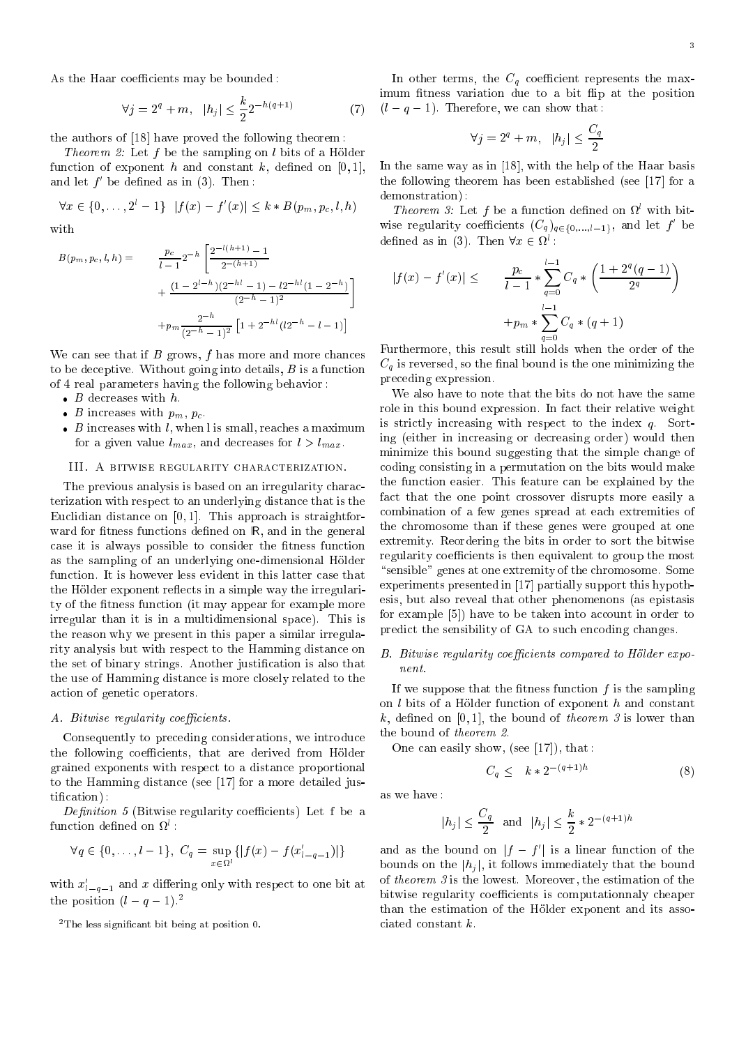As the Haar coefficients may be bounded:

$$
\forall j = 2^q + m, \ \ |h_j| \le \frac{k}{2} 2^{-h(q+1)} \tag{7}
$$

the authors of [18] have proved the following theorem :

*Theorem 2:* Let f be the sampling on l bits of a Hölder function of exponent h and constant k, defined on  $[0,1]$ , and let f <sup>0</sup> be dened as in (3). Then :

$$
\forall x \in \{0, \ldots, 2^l - 1\} \ |f(x) - f'(x)| \le k * B(p_m, p_c, l, h)
$$

with

$$
B(p_m, p_c, l, h) = \frac{p_c}{l-1} 2^{-h} \left[ \frac{2^{-l(h+1)} - 1}{2^{-(h+1)}} + \frac{(1 - 2^{l-h})(2^{-h-l} - 1) - l2^{-h-l}(1 - 2^{-h})}{(2^{-h} - 1)^2} \right]
$$

$$
+ p_m \frac{2^{-h}}{(2^{-h} - 1)^2} \left[ 1 + 2^{-h-l}(l2^{-h} - l - 1) \right]
$$

We can see that if  $B$  grows,  $f$  has more and more chances to be deceptive. Without going into details,  $B$  is a function of 4 real parameters having the following behavior :

- 
- $\mathcal{L}$  increases with particles with property  $\mathcal{L}$
- B increases with l, when l is small, reaches a maximum for a given value  $l_{max}$ , and decreases for  $l > l_{max}$ .

## III. A bitwise regularity characterization.

The previous analysis is based on an irregularity characterization with respect to an underlying distance that is the Euclidian distance on  $[0, 1]$ . This approach is straightforward for fitness functions defined on  $\mathbb{R}$ , and in the general case it is always possible to consider the fitness function as the sampling of an underlying one-dimensional Hölder function. It is however less evident in this latter case that the Hölder exponent reflects in a simple way the irregularity of the fitness function (it may appear for example more irregular than it is in a multidimensional space). This is the reason why we present in this paper a similar irregularity analysis but with respect to the Hamming distance on the set of binary strings. Another justication is also that the use of Hamming distance is more closely related to the action of genetic operators.

# A. Bitwise regularity coefficients.

Consequently to preceding considerations, we introduce the following coefficients, that are derived from Hölder grained exponents with respect to a distance proportional to the Hamming distance (see [17] for a more detailed justication) :

Definition 5 (Bitwise regularity coefficients) Let f be a function dened on <sup>l</sup> :

$$
\forall q \in \{0, \ldots, l-1\}, \ C_q = \sup_{x \in \Omega^l} \{|f(x) - f(x_{l-q-1}')|\}
$$

with  $x_{l-q-1}$  and x differing only with respect to one bit at the position  $(l - q - 1)^2$ 

In other terms, the  $C_q$  coefficient represents the maximum fitness variation due to a bit flip at the position  $(l - q - 1)$ . Therefore, we can show that :

$$
\forall j = 2^q + m, \ \ |h_j| \le \frac{C_q}{2}
$$

In the same way as in [18], with the help of the Haar basis the following theorem has been established (see [17] for a demonstration) :

*Integrem 3:* Let f be a function defined on *W* with bitwise regularity coefficients  $(C_q)_{q \in \{0,\ldots,l-1\}},$  and let f or denned as in (3). Then  $\forall x \in \mathcal{U}$  :

$$
|f(x) - f'(x)| \le \frac{p_c}{l-1} * \sum_{q=0}^{l-1} C_q * \left(\frac{1 + 2^q (q-1)}{2^q}\right)
$$

$$
+ p_m * \sum_{q=0}^{l-1} C_q * (q+1)
$$

Furthermore, this result still holds when the order of the  $C_q$  is reversed, so the final bound is the one minimizing the preceding expression.

We also have to note that the bits do not have the same role in this bound expression. In fact their relative weight is strictly increasing with respect to the index  $q$ . Sorting (either in increasing or decreasing order) would then minimize this bound suggesting that the simple change of coding consisting in a permutation on the bits would make the function easier. This feature can be explained by the fact that the one point crossover disrupts more easily a combination of a few genes spread at each extremities of the chromosome than if these genes were grouped at one extremity. Reordering the bits in order to sort the bitwise regularity coefficients is then equivalent to group the most "sensible" genes at one extremity of the chromosome. Some experiments presented in [17] partially support this hypothesis, but also reveal that other phenomenons (as epistasis for example [5]) have to be taken into account in order to predict the sensibility of GA to such encoding changes.

# B. Bitwise regularity coefficients compared to Hölder expo $nent$ .

If we suppose that the fitness function  $f$  is the sampling on  $l$  bits of a Hölder function of exponent  $h$  and constant k, defined on [0,1], the bound of theorem 3 is lower than the bound of theorem 2.

One can easily show, (see [17]), that :

$$
C_a \leq k \cdot 2^{-(q+1)h} \tag{8}
$$

as we have :

$$
|h_j| \leq \frac{C_q}{2} \ \ {\rm and} \ \ |h_j| \leq \frac{k}{2} * 2^{-(q+1)h}
$$

and as the bound on  $\vert I - I \vert$  is a linear function of the bounds on the  $|h_j|$ , it follows immediately that the bound of theorem 3 is the lowest. Moreover, the estimation of the bitwise regularity coefficients is computationnaly cheaper than the estimation of the Holder exponent and its associated constant k.

 $2$ The less significant bit being at position 0.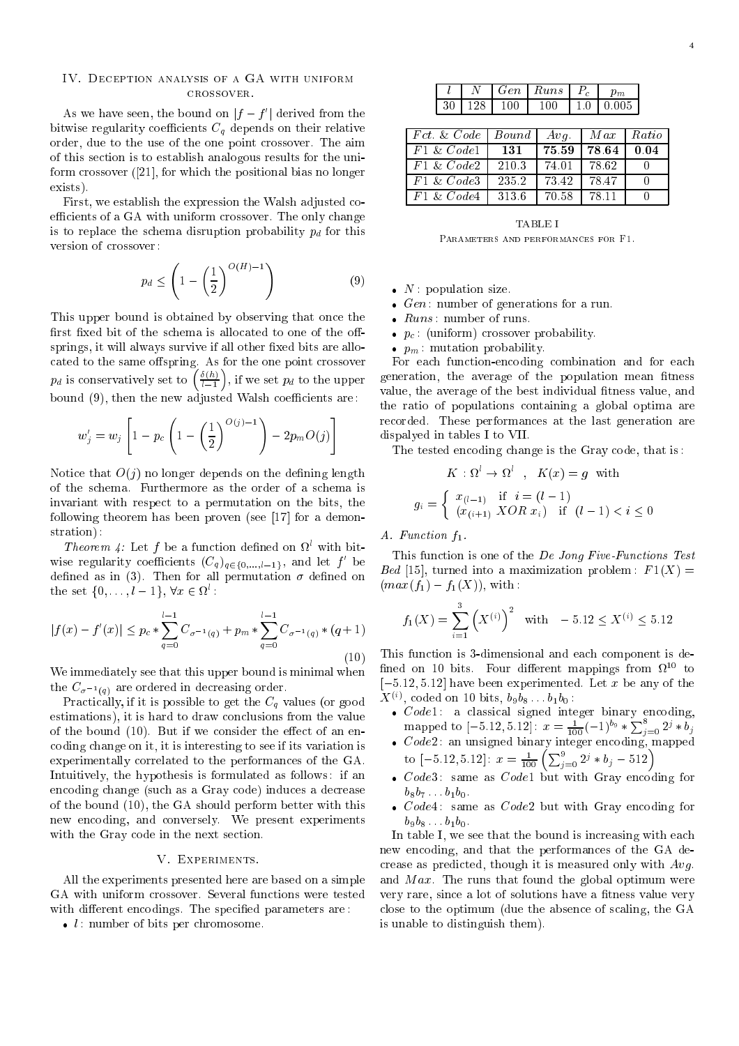## IV. Deception analysis of a GA with uniform crossover.

As we have seen, the bound on  $\mu - \mu$  (derived from the bitwise regularity coefficients  $C_q$  depends on their relative order, due to the use of the one point crossover. The aim of this section is to establish analogous results for the uniform crossover ([21], for which the positional bias no longer exists).

First, we establish the expression the Walsh adjusted coefficients of a GA with uniform crossover. The only change is to replace the schema disruption probability  $p_d$  for this version of crossover :

$$
p_d \le \left(1 - \left(\frac{1}{2}\right)^{O(H)-1}\right) \tag{9}
$$

This upper bound is obtained by observing that once the first fixed bit of the schema is allocated to one of the offsprings, it will always survive if all other fixed bits are allo $p_d$  is conservatively set to  $\left(\frac{\delta(h)}{h}\right)$ , if we set  $p_d$  to the upper  $\sim$ , if we set  $\boldsymbol{r}$  and the upper set  $\boldsymbol{r}$ bound (9), then the new adjusted Walsh coefficients are:

$$
w'_{j} = w_{j} \left[ 1 - p_{c} \left( 1 - \left( \frac{1}{2} \right)^{O(j)-1} \right) - 2p_{m} O(j) \right]
$$

Notice that  $O(i)$  no longer depends on the defining length of the schema. Furthermore as the order of a schema is invariant with respect to a permutation on the bits, the following theorem has been proven (see [17] for a demonstration) :

*Integrem 4*. Let f be a function defined on  $\alpha$  with bitwise regularity coefficients  $(C_q)_{q \in \{0,\ldots,l-1\}}$ , and let f or defined as in (3). Then for all permutation  $\sigma$  defined on the set  $\{0, \ldots, i-1\}$ ,  $\forall x \in M$ :

$$
|f(x) - f'(x)| \le p_c * \sum_{q=0}^{l-1} C_{\sigma^{-1}(q)} + p_m * \sum_{q=0}^{l-1} C_{\sigma^{-1}(q)} * (q+1)
$$
\n(10)

We immediately see that this upper bound is minimal when  $\sigma$   $\sigma$  are ordered in decreasing order.

Practically, if it is possible to get the  $C_q$  values (or good estimations), it is hard to draw conclusions from the value of the bound  $(10)$ . But if we consider the effect of an encoding change on it, it is interesting to see if its variation is experimentally correlated to the performances of the GA. Intuitively, the hypothesis is formulated as follows : if an encoding change (such as a Gray code) induces a decrease of the bound (10), the GA should perform better with this new encoding, and conversely. We present experiments with the Gray code in the next section.

# V. Experiments.

All the experiments presented here are based on a simple GA with uniform crossover. Several functions were tested with different encodings. The specified parameters are:

l : number of bits per chromosome.

<sup>l</sup> <sup>N</sup> Gen Runs Pc pm 30 128 100 100 1:0 0:005

| Fct. & Code   | Bound | $Avq$ . | Max     | Ratio       |
|---------------|-------|---------|---------|-------------|
| $F1 \& Code1$ | 131   | 75.59   | 78.64   | 0.04        |
| $F1 \& Code2$ | 210.3 | 74.01   | - 78.62 |             |
| $F1 \& Code3$ | 235.2 | 73.42   | 78.47   | $^{\prime}$ |
| $F1 \& Code4$ | 313.6 | 70.58   | 78.11   |             |

**TABLE I** Parameters and performances for F1.

- n is population size. We have sixted the sixted size of the sixted size of the sixted size of the sixted size o
- Gen : number of generations for a run.
- 
- pc : (uniform) crossover probability.
- pm : mutation probability.

For each function-encoding combination and for each generation, the average of the population mean fitness value, the average of the best individual fitness value, and the ratio of populations containing a global optima are recorded. These performances at the last generation are dispalyed in tables I to VII.

The tested encoding change is the Gray code, that is :

$$
K: \Omega^l \to \Omega^l \quad , \quad K(x) = g \quad \text{with}
$$
\n
$$
g_i = \begin{cases} x_{(l-1)} & \text{if } i = (l-1) \\ (x_{(i+1)} \quad XOR \quad x_i) & \text{if } (l-1) < i \le 0 \end{cases}
$$

A. Function  $f_1$ .

This function is one of the De Jong Five-Functions Test Bed [15], turned into a maximization problem:  $F1(X) =$  $(max(f_1) - f_1(X))$ , with :

$$
f_1(X) = \sum_{i=1}^{3} (X^{(i)})^2
$$
 with  $-5.12 \le X^{(i)} \le 5.12$ 

This function is 3-dimensional and each component is de-  $\lim_{\Omega \to 0}$  on to pits. Four different mappings from  $\Omega^{++}$  to  $[-5.12, 5.12]$  have been experimented. Let x be any of the  $\Lambda$   $\heartsuit$  , coded on 10 bits,  $\mathit{bg}\mathit{bg}$  . . .  $\mathit{b}_1\mathit{b}_0$  :

- Code1 : a classical signed integer binary encoding,  $\text{mapped to } [-5.12, 5.12]$ :  $x = \frac{1}{100} (-1)^{b_9} * \sum_{j=0}^{8} 2^j * b_j$
- Code2 : an unsigned binary integer encoding, mapped to  $[-5.12, 5.12]$ :  $x = \frac{1}{100} \left( \sum_{j=0}^{9} 2^j * b_j - 512 \right)$
- Code3 : same as Code1 but with Gray encoding for  $b_8b_7 \t b_1b_0.$
- Code4 : same as Code2 but with Gray encoding for  $b_9b_8 \ldots b_1b_0.$

In table I, we see that the bound is increasing with each new encoding, and that the performances of the GA decrease as predicted, though it is measured only with Avg: and  $Max$ . The runs that found the global optimum were very rare, since a lot of solutions have a fitness value very close to the optimum (due the absence of scaling, the GA is unable to distinguish them).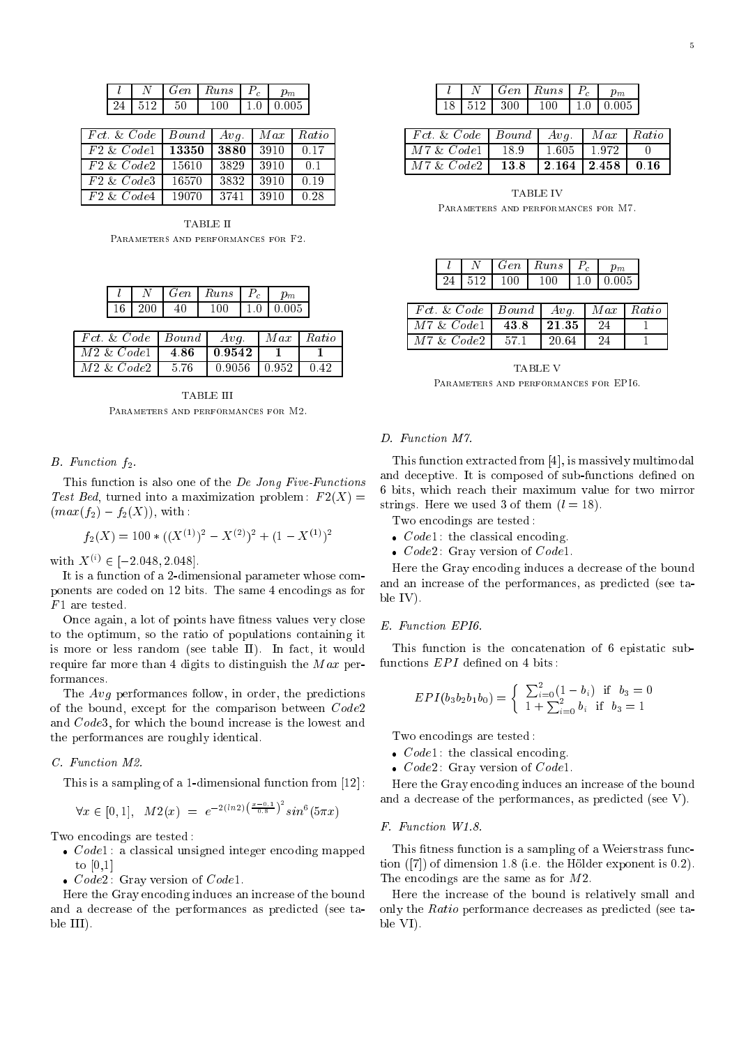|    | Gen | Runs | m     |
|----|-----|------|-------|
| 24 |     |      | 0.005 |

| Fct & Code    | $Bound \mid Avg.$ |      |      | $Max \mid Ratio$ |
|---------------|-------------------|------|------|------------------|
| $F2 \& Code1$ | 13350             | 3880 | 3910 | 0.17             |
| $F2 \& Code2$ | 15610             | 3829 | 3910 | 0.1              |
| $F2 \& Code3$ | 16570             | 3832 | 3910 | 0.19             |
| $F2 \& Code4$ | 19070             | 3741 | 3910 | 0.28             |

TABLE II Parameters and performances for F2.

|  | Gen | Runs | m.    |
|--|-----|------|-------|
|  |     |      | በ በበ5 |

| $\mid$ Fct. & Code $\mid$ Bound $\mid$ Avq.   |  | $Max \mid Ratio$ |
|-----------------------------------------------|--|------------------|
| $\mid M2 \& Code1 \mid 4.86 \mid 0.9542 \mid$ |  |                  |
| $\mid M2 \& Code2 \mid 5.76$                  |  |                  |

Parameters and performances for M2.

#### $B.$  Function  $f_2$ .

This function is also one of the De Jong Five-Functions Test Bed, turned into a maximization problem:  $F2(X) =$  $(max(f_2) - f_2(X))$ , with:

$$
f_2(X) = 100 * ((X^{(1)})^2 - X^{(2)})^2 + (1 - X^{(1)})^2
$$

WITH  $\Lambda$   $\vee$   $\ell$   $\in$   $\lceil -2.048, 2.048 \rceil$ .

It is a function of a 2-dimensional parameter whose components are coded on 12 bits. The same 4 encodings as for  $F1$  are tested.

Once again, a lot of points have fitness values very close to the optimum, so the ratio of populations containing it is more or less random (see table II). In fact, it would require far more than 4 digits to distinguish the  $Max$  performances.

The Avg performances follow, in order, the predictions of the bound, except for the comparison between Code2 and Code3, for which the bound increase is the lowest and the performances are roughly identical.

#### C. Function M2.

This is a sampling of a 1-dimensional function from [12] :

 $\sim$   $\sim$   $\sim$   $\sim$   $\sim$ 

$$
\forall x \in [0,1], \quad M2(x) = e^{-2(ln2)(\frac{x-0.1}{0.8})^2} \sin^6(5\pi x)
$$

Two encodings are tested :

- Code1 : a classical unsigned integer encoding mapped to [0,1]
- Code2 : Gray version of Code1.

Here the Gray encoding induces an increase of the bound and a decrease of the performances as predicted (see table III).

|  |                | Gen   Runs   P <sub>c</sub> |                 |
|--|----------------|-----------------------------|-----------------|
|  | 18   512   300 | ഥ                           | 1 1 0 1 0 0 0 5 |

| $Fct. \& Code \mid Bound \mid Avg. \mid Max \mid Ratio$ |  |  |
|---------------------------------------------------------|--|--|
| $M7 \& Code1$   18.9   1.605   1.972   0                |  |  |
| $M7 & Code2 \mid 13.8 \mid 2.164 \mid 2.458 \mid 0.16$  |  |  |

**TARLE IV** Parameters and performances for M7.

|  |     | $Gen$ | $Runs \mid P_c$ |          |
|--|-----|-------|-----------------|----------|
|  | 519 | 1 በበ  | 1 ( ) ( )       | 11010005 |

| $\boxed{Fct \& Code \mid Bound \mid Avg. \mid Max \mid Ratio}$ |  |     |  |
|----------------------------------------------------------------|--|-----|--|
| $M7 \& Code1$   43.8   21.35   24                              |  |     |  |
| $M7 \& Code2$   57.1   20.64                                   |  | -24 |  |

**TABLE V** 

#### D. Function M7.

This function extracted from [4], is massively multimodal and deceptive. It is composed of sub-functions defined on 6 bits, which reach their maximum value for two mirror strings. Here we used 3 of them  $(l = 18)$ .

Two encodings are tested :

- code : the classical encoding.
- Code2 : Gray version of Code1.

Here the Gray encoding induces a decrease of the bound and an increase of the performances, as predicted (see table IV).

#### E. Function EPI6.

This function is the concatenation of 6 epistatic subfunctions  $EPI$  defined on 4 bits:

$$
EPI(b_3b_2b_1b_0) = \begin{cases} \sum_{i=0}^{2} (1-b_i) & \text{if } b_3 = 0\\ 1 + \sum_{i=0}^{2} b_i & \text{if } b_3 = 1 \end{cases}
$$

Two encodings are tested :

- code : the classical encoding.
- Code2 : Gray version of Code1.

Here the Gray encoding induces an increase of the bound and a decrease of the performances, as predicted (see V).

## $F.$  Function W1.8.

This fitness function is a sampling of a Weierstrass function ([7]) of dimension 1.8 (i.e. the Holder exponent is 0.2). The encodings are the same as for M2.

Here the increase of the bound is relatively small and only the Ratio performance decreases as predicted (see table VI).